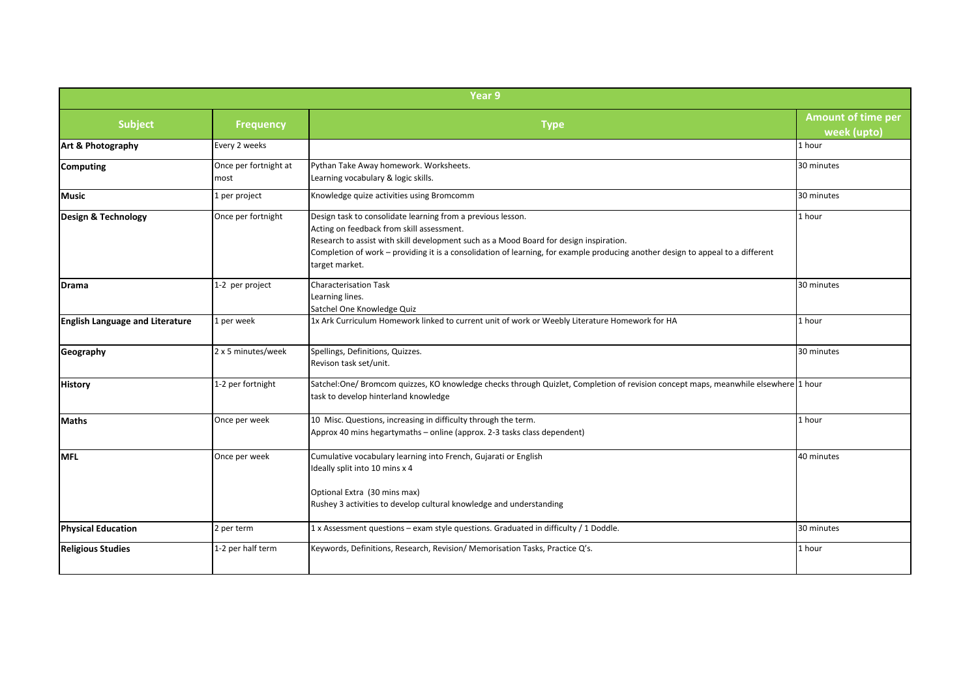| Year 9                                 |                               |                                                                                                                                                                                                                                                                                                                                                         |                                          |  |
|----------------------------------------|-------------------------------|---------------------------------------------------------------------------------------------------------------------------------------------------------------------------------------------------------------------------------------------------------------------------------------------------------------------------------------------------------|------------------------------------------|--|
| <b>Subject</b>                         | <b>Frequency</b>              | <b>Type</b>                                                                                                                                                                                                                                                                                                                                             | <b>Amount of time per</b><br>week (upto) |  |
| Art & Photography                      | Every 2 weeks                 |                                                                                                                                                                                                                                                                                                                                                         | 1 hour                                   |  |
| Computing                              | Once per fortnight at<br>most | Pythan Take Away homework. Worksheets.<br>Learning vocabulary & logic skills.                                                                                                                                                                                                                                                                           | 30 minutes                               |  |
| <b>Music</b>                           | 1 per project                 | Knowledge quize activities using Bromcomm                                                                                                                                                                                                                                                                                                               | 30 minutes                               |  |
| Design & Technology                    | Once per fortnight            | Design task to consolidate learning from a previous lesson.<br>Acting on feedback from skill assessment.<br>Research to assist with skill development such as a Mood Board for design inspiration.<br>Completion of work – providing it is a consolidation of learning, for example producing another design to appeal to a different<br>target market. | 1 hour                                   |  |
| Drama                                  | 1-2 per project               | <b>Characterisation Task</b><br>Learning lines.<br>Satchel One Knowledge Quiz                                                                                                                                                                                                                                                                           | 30 minutes                               |  |
| <b>English Language and Literature</b> | 1 per week                    | 1x Ark Curriculum Homework linked to current unit of work or Weebly Literature Homework for HA                                                                                                                                                                                                                                                          | 1 hour                                   |  |
| Geography                              | 2 x 5 minutes/week            | Spellings, Definitions, Quizzes.<br>Revison task set/unit.                                                                                                                                                                                                                                                                                              | 30 minutes                               |  |
| <b>History</b>                         | 1-2 per fortnight             | Satchel:One/ Bromcom quizzes, KO knowledge checks through Quizlet, Completion of revision concept maps, meanwhile elsewhere 1 hour<br>task to develop hinterland knowledge                                                                                                                                                                              |                                          |  |
| <b>Maths</b>                           | Once per week                 | 10 Misc. Questions, increasing in difficulty through the term.<br>Approx 40 mins hegartymaths - online (approx. 2-3 tasks class dependent)                                                                                                                                                                                                              | 1 hour                                   |  |
| <b>MFL</b>                             | Once per week                 | Cumulative vocabulary learning into French, Gujarati or English<br>Ideally split into 10 mins x 4<br>Optional Extra (30 mins max)<br>Rushey 3 activities to develop cultural knowledge and understanding                                                                                                                                                | 40 minutes                               |  |
| <b>Physical Education</b>              | 2 per term                    | 1 x Assessment questions - exam style questions. Graduated in difficulty / 1 Doddle.                                                                                                                                                                                                                                                                    | 30 minutes                               |  |
| <b>Religious Studies</b>               | 1-2 per half term             | Keywords, Definitions, Research, Revision/ Memorisation Tasks, Practice Q's.                                                                                                                                                                                                                                                                            | 1 hour                                   |  |